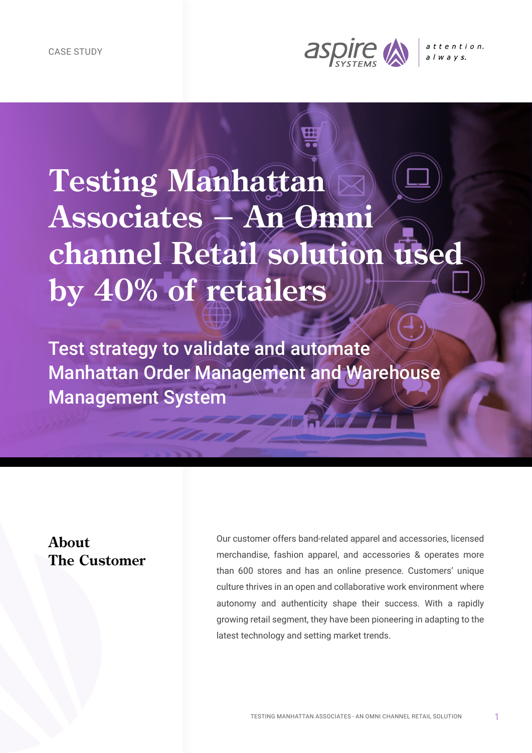

# **Testing Manhattan Associates - An Omni channel Retail solution used by 40% of retailers**

Test strategy to validate and automate Manhattan Order Management and Warehouse Management System

#### **About The Customer**

Our customer offers band-related apparel and accessories, licensed merchandise, fashion apparel, and accessories & operates more than 600 stores and has an online presence. Customers' unique culture thrives in an open and collaborative work environment where autonomy and authenticity shape their success. With a rapidly growing retail segment, they have been pioneering in adapting to the latest technology and setting market trends.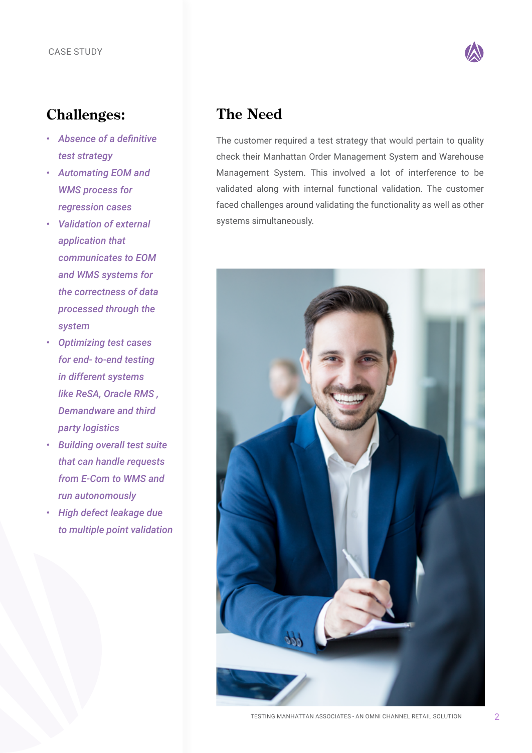

### **Challenges:**

- *• Absence of a definitive test strategy*
- *• Automating EOM and WMS process for regression cases*
- *• Validation of external application that communicates to EOM and WMS systems for the correctness of data processed through the system*
- *• Optimizing test cases for end- to-end testing in different systems like ReSA, Oracle RMS , Demandware and third party logistics*
- *• Building overall test suite that can handle requests from E-Com to WMS and run autonomously*
- *• High defect leakage due to multiple point validation*

# **The Need**

The customer required a test strategy that would pertain to quality check their Manhattan Order Management System and Warehouse Management System. This involved a lot of interference to be validated along with internal functional validation. The customer faced challenges around validating the functionality as well as other systems simultaneously.



TESTING MANHATTAN ASSOCIATES - AN OMNI CHANNEL RETAIL SOLUTION 2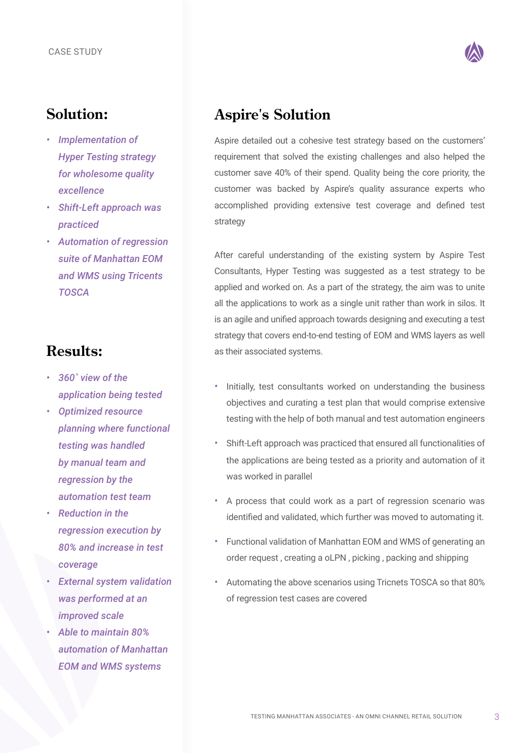

#### **Solution:**

- *• Implementation of Hyper Testing strategy for wholesome quality excellence*
- *• Shift-Left approach was practiced*
- *• Automation of regression suite of Manhattan EOM and WMS using Tricents TOSCA*

### **Results:**

- *• 360˚ view of the application being tested*
- *• Optimized resource planning where functional testing was handled by manual team and regression by the automation test team*
- *• Reduction in the regression execution by 80% and increase in test coverage*
- *• External system validation was performed at an improved scale*
- *• Able to maintain 80% automation of Manhattan EOM and WMS systems*

## **Aspire's Solution**

Aspire detailed out a cohesive test strategy based on the customers' requirement that solved the existing challenges and also helped the customer save 40% of their spend. Quality being the core priority, the customer was backed by Aspire's quality assurance experts who accomplished providing extensive test coverage and defined test strategy

After careful understanding of the existing system by Aspire Test Consultants, Hyper Testing was suggested as a test strategy to be applied and worked on. As a part of the strategy, the aim was to unite all the applications to work as a single unit rather than work in silos. It is an agile and unified approach towards designing and executing a test strategy that covers end-to-end testing of EOM and WMS layers as well as their associated systems.

- *•* Initially, test consultants worked on understanding the business objectives and curating a test plan that would comprise extensive testing with the help of both manual and test automation engineers
- *•* Shift-Left approach was practiced that ensured all functionalities of the applications are being tested as a priority and automation of it was worked in parallel
- *•* A process that could work as a part of regression scenario was identified and validated, which further was moved to automating it.
- *•* Functional validation of Manhattan EOM and WMS of generating an order request , creating a oLPN , picking , packing and shipping
- *•* Automating the above scenarios using Tricnets TOSCA so that 80% of regression test cases are covered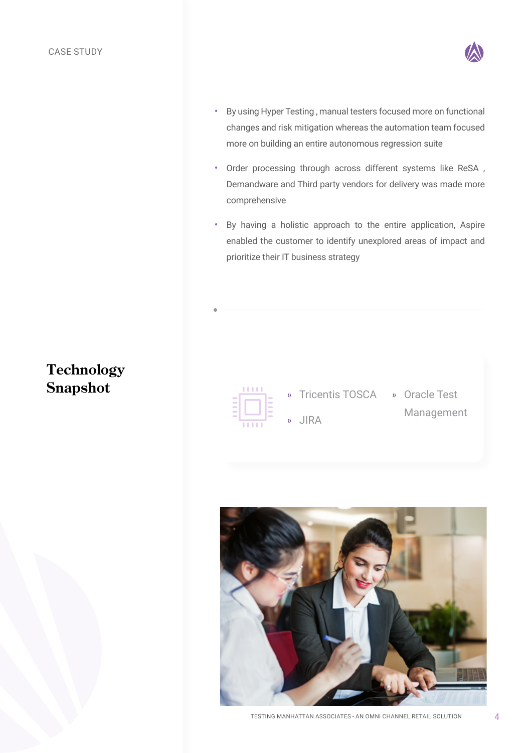

- *•* By using Hyper Testing , manual testers focused more on functional changes and risk mitigation whereas the automation team focused more on building an entire autonomous regression suite
- *•* Order processing through across different systems like ReSA , Demandware and Third party vendors for delivery was made more comprehensive
- *•* By having a holistic approach to the entire application, Aspire enabled the customer to identify unexplored areas of impact and prioritize their IT business strategy

# **Technology Snapshot**



- » Tricentis TOSCA » Oracle Test » JIRA
	- Management